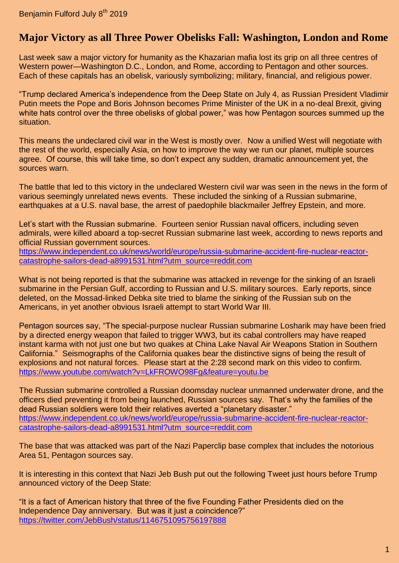## **Major Victory as all Three Power Obelisks Fall: Washington, London and Rome**

Last week saw a major victory for humanity as the Khazarian mafia lost its grip on all three centres of Western power—Washington D.C., London, and Rome, according to Pentagon and other sources. Each of these capitals has an obelisk, variously symbolizing; military, financial, and religious power.

"Trump declared America's independence from the Deep State on July 4, as Russian President Vladimir Putin meets the Pope and Boris Johnson becomes Prime Minister of the UK in a no-deal Brexit, giving white hats control over the three obelisks of global power," was how Pentagon sources summed up the situation.

This means the undeclared civil war in the West is mostly over. Now a unified West will negotiate with the rest of the world, especially Asia, on how to improve the way we run our planet, multiple sources agree. Of course, this will take time, so don't expect any sudden, dramatic announcement yet, the sources warn.

The battle that led to this victory in the undeclared Western civil war was seen in the news in the form of various seemingly unrelated news events. These included the sinking of a Russian submarine, earthquakes at a U.S. naval base, the arrest of paedophile blackmailer Jeffrey Epstein, and more.

Let's start with the Russian submarine. Fourteen senior Russian naval officers, including seven admirals, were killed aboard a top-secret Russian submarine last week, according to news reports and official Russian government sources.

[https://www.independent.co.uk/news/world/europe/russia-submarine-accident-fire-nuclear-reactor](https://www.independent.co.uk/news/world/europe/russia-submarine-accident-fire-nuclear-reactor-catastrophe-sailors-dead-a8991531.html?utm_source=reddit.com)[catastrophe-sailors-dead-a8991531.html?utm\\_source=reddit.com](https://www.independent.co.uk/news/world/europe/russia-submarine-accident-fire-nuclear-reactor-catastrophe-sailors-dead-a8991531.html?utm_source=reddit.com)

What is not being reported is that the submarine was attacked in revenge for the sinking of an Israeli submarine in the Persian Gulf, according to Russian and U.S. military sources. Early reports, since deleted, on the Mossad-linked Debka site tried to blame the sinking of the Russian sub on the Americans, in yet another obvious Israeli attempt to start World War III.

Pentagon sources say, "The special-purpose nuclear Russian submarine Losharik may have been fried by a directed energy weapon that failed to trigger WW3, but its cabal controllers may have reaped instant karma with not just one but two quakes at China Lake Naval Air Weapons Station in Southern California." Seismographs of the California quakes bear the distinctive signs of being the result of explosions and not natural forces. Please start at the 2:28 second mark on this video to confirm. <https://www.youtube.com/watch?v=LkFROWO98Fg&feature=youtu.be>

The Russian submarine controlled a Russian doomsday nuclear unmanned underwater drone, and the officers died preventing it from being launched, Russian sources say. That's why the families of the dead Russian soldiers were told their relatives averted a "planetary disaster." [https://www.independent.co.uk/news/world/europe/russia-submarine-accident-fire-nuclear-reactor](https://www.independent.co.uk/news/world/europe/russia-submarine-accident-fire-nuclear-reactor-catastrophe-sailors-dead-a8991531.html?utm_source=reddit.com)[catastrophe-sailors-dead-a8991531.html?utm\\_source=reddit.com](https://www.independent.co.uk/news/world/europe/russia-submarine-accident-fire-nuclear-reactor-catastrophe-sailors-dead-a8991531.html?utm_source=reddit.com)

The base that was attacked was part of the Nazi Paperclip base complex that includes the notorious Area 51, Pentagon sources say.

It is interesting in this context that Nazi Jeb Bush put out the following Tweet just hours before Trump announced victory of the Deep State:

"It is a fact of American history that three of the five Founding Father Presidents died on the Independence Day anniversary. But was it just a coincidence?" <https://twitter.com/JebBush/status/1146751095756197888>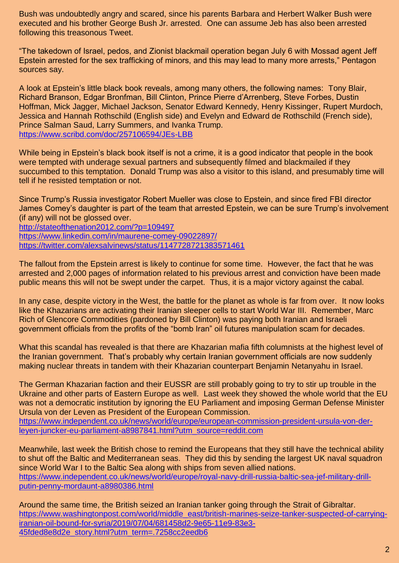Bush was undoubtedly angry and scared, since his parents Barbara and Herbert Walker Bush were executed and his brother George Bush Jr. arrested. One can assume Jeb has also been arrested following this treasonous Tweet.

"The takedown of Israel, pedos, and Zionist blackmail operation began July 6 with Mossad agent Jeff Epstein arrested for the sex trafficking of minors, and this may lead to many more arrests," Pentagon sources say.

A look at Epstein's little black book reveals, among many others, the following names: Tony Blair, Richard Branson, Edgar Bronfman, Bill Clinton, Prince Pierre d'Arrenberg, Steve Forbes, Dustin Hoffman, Mick Jagger, Michael Jackson, Senator Edward Kennedy, Henry Kissinger, Rupert Murdoch, Jessica and Hannah Rothschild (English side) and Evelyn and Edward de Rothschild (French side), Prince Salman Saud, Larry Summers, and Ivanka Trump. <https://www.scribd.com/doc/257106594/JEs-LBB>

While being in Epstein's black book itself is not a crime, it is a good indicator that people in the book were tempted with underage sexual partners and subsequently filmed and blackmailed if they succumbed to this temptation. Donald Trump was also a visitor to this island, and presumably time will tell if he resisted temptation or not.

Since Trump's Russia investigator Robert Mueller was close to Epstein, and since fired FBI director James Comey's daughter is part of the team that arrested Epstein, we can be sure Trump's involvement (if any) will not be glossed over.

<http://stateofthenation2012.com/?p=109497> <https://www.linkedin.com/in/maurene-comey-09022897/> <https://twitter.com/alexsalvinews/status/1147728721383571461>

The fallout from the Epstein arrest is likely to continue for some time. However, the fact that he was arrested and 2,000 pages of information related to his previous arrest and conviction have been made public means this will not be swept under the carpet. Thus, it is a major victory against the cabal.

In any case, despite victory in the West, the battle for the planet as whole is far from over. It now looks like the Khazarians are activating their Iranian sleeper cells to start World War III. Remember, Marc Rich of Glencore Commodities (pardoned by Bill Clinton) was paying both Iranian and Israeli government officials from the profits of the "bomb Iran" oil futures manipulation scam for decades.

What this scandal has revealed is that there are Khazarian mafia fifth columnists at the highest level of the Iranian government. That's probably why certain Iranian government officials are now suddenly making nuclear threats in tandem with their Khazarian counterpart Benjamin Netanyahu in Israel.

The German Khazarian faction and their EUSSR are still probably going to try to stir up trouble in the Ukraine and other parts of Eastern Europe as well. Last week they showed the whole world that the EU was not a democratic institution by ignoring the EU Parliament and imposing German Defense Minister Ursula von der Leven as President of the European Commission.

[https://www.independent.co.uk/news/world/europe/european-commission-president-ursula-von-der](https://www.independent.co.uk/news/world/europe/european-commission-president-ursula-von-der-leyen-juncker-eu-parliament-a8987841.html?utm_source=reddit.com)[leyen-juncker-eu-parliament-a8987841.html?utm\\_source=reddit.com](https://www.independent.co.uk/news/world/europe/european-commission-president-ursula-von-der-leyen-juncker-eu-parliament-a8987841.html?utm_source=reddit.com)

Meanwhile, last week the British chose to remind the Europeans that they still have the technical ability to shut off the Baltic and Mediterranean seas. They did this by sending the largest UK naval squadron since World War I to the Baltic Sea along with ships from seven allied nations. [https://www.independent.co.uk/news/world/europe/royal-navy-drill-russia-baltic-sea-jef-military-drill](https://www.independent.co.uk/news/world/europe/royal-navy-drill-russia-baltic-sea-jef-military-drill-putin-penny-mordaunt-a8980386.html)[putin-penny-mordaunt-a8980386.html](https://www.independent.co.uk/news/world/europe/royal-navy-drill-russia-baltic-sea-jef-military-drill-putin-penny-mordaunt-a8980386.html)

Around the same time, the British seized an Iranian tanker going through the Strait of Gibraltar. [https://www.washingtonpost.com/world/middle\\_east/british-marines-seize-tanker-suspected-of-carrying](https://www.washingtonpost.com/world/middle_east/british-marines-seize-tanker-suspected-of-carrying-iranian-oil-bound-for-syria/2019/07/04/681458d2-9e65-11e9-83e3-45fded8e8d2e_story.html?utm_term=.7258cc2eedb6)[iranian-oil-bound-for-syria/2019/07/04/681458d2-9e65-11e9-83e3-](https://www.washingtonpost.com/world/middle_east/british-marines-seize-tanker-suspected-of-carrying-iranian-oil-bound-for-syria/2019/07/04/681458d2-9e65-11e9-83e3-45fded8e8d2e_story.html?utm_term=.7258cc2eedb6) [45fded8e8d2e\\_story.html?utm\\_term=.7258cc2eedb6](https://www.washingtonpost.com/world/middle_east/british-marines-seize-tanker-suspected-of-carrying-iranian-oil-bound-for-syria/2019/07/04/681458d2-9e65-11e9-83e3-45fded8e8d2e_story.html?utm_term=.7258cc2eedb6)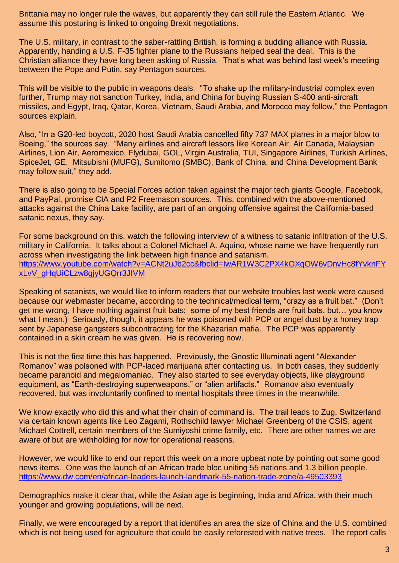Brittania may no longer rule the waves, but apparently they can still rule the Eastern Atlantic. We assume this posturing is linked to ongoing Brexit negotiations.

The U.S. military, in contrast to the saber-rattling British, is forming a budding alliance with Russia. Apparently, handing a U.S. F-35 fighter plane to the Russians helped seal the deal. This is the Christian alliance they have long been asking of Russia. That's what was behind last week's meeting between the Pope and Putin, say Pentagon sources.

This will be visible to the public in weapons deals. "To shake up the military-industrial complex even further, Trump may not sanction Turkey, India, and China for buying Russian S-400 anti-aircraft missiles, and Egypt, Iraq, Qatar, Korea, Vietnam, Saudi Arabia, and Morocco may follow," the Pentagon sources explain.

Also, "In a G20-led boycott, 2020 host Saudi Arabia cancelled fifty 737 MAX planes in a major blow to Boeing," the sources say. "Many airlines and aircraft lessors like Korean Air, Air Canada, Malaysian Airlines, Lion Air, Aeromexico, Flydubai, GOL, Virgin Australia, TUI, Singapore Airlines, Turkish Airlines, SpiceJet, GE, Mitsubishi (MUFG), Sumitomo (SMBC), Bank of China, and China Development Bank may follow suit," they add.

There is also going to be Special Forces action taken against the major tech giants Google, Facebook, and PayPal, promise CIA and P2 Freemason sources. This, combined with the above-mentioned attacks against the China Lake facility, are part of an ongoing offensive against the California-based satanic nexus, they say.

For some background on this, watch the following interview of a witness to satanic infiltration of the U.S. military in California. It talks about a Colonel Michael A. Aquino, whose name we have frequently run across when investigating the link between high finance and satanism. [https://www.youtube.com/watch?v=ACNt2uJb2cc&fbclid=IwAR1W3C2PX4kOXqOW6vDnvHc8fYvknFY](https://www.youtube.com/watch?v=ACNt2uJb2cc&fbclid=IwAR1W3C2PX4kOXqOW6vDnvHc8fYvknFYxLvV_gHqUiCLzw8gjyUGQrr3JIVM) [xLvV\\_gHqUiCLzw8gjyUGQrr3JIVM](https://www.youtube.com/watch?v=ACNt2uJb2cc&fbclid=IwAR1W3C2PX4kOXqOW6vDnvHc8fYvknFYxLvV_gHqUiCLzw8gjyUGQrr3JIVM)

Speaking of satanists, we would like to inform readers that our website troubles last week were caused because our webmaster became, according to the technical/medical term, "crazy as a fruit bat." (Don't get me wrong, I have nothing against fruit bats; some of my best friends are fruit bats, but… you know what I mean.) Seriously, though, it appears he was poisoned with PCP or angel dust by a honey trap sent by Japanese gangsters subcontracting for the Khazarian mafia. The PCP was apparently contained in a skin cream he was given. He is recovering now.

This is not the first time this has happened. Previously, the Gnostic Illuminati agent "Alexander Romanov" was poisoned with PCP-laced marijuana after contacting us. In both cases, they suddenly became paranoid and megalomaniac. They also started to see everyday objects, like playground equipment, as "Earth-destroying superweapons," or "alien artifacts." Romanov also eventually recovered, but was involuntarily confined to mental hospitals three times in the meanwhile.

We know exactly who did this and what their chain of command is. The trail leads to Zug, Switzerland via certain known agents like Leo Zagami, Rothschild lawyer Michael Greenberg of the CSIS, agent Michael Cottrell, certain members of the Sumiyoshi crime family, etc. There are other names we are aware of but are withholding for now for operational reasons.

However, we would like to end our report this week on a more upbeat note by pointing out some good news items. One was the launch of an African trade bloc uniting 55 nations and 1.3 billion people. <https://www.dw.com/en/african-leaders-launch-landmark-55-nation-trade-zone/a-49503393>

Demographics make it clear that, while the Asian age is beginning, India and Africa, with their much younger and growing populations, will be next.

Finally, we were encouraged by a report that identifies an area the size of China and the U.S. combined which is not being used for agriculture that could be easily reforested with native trees. The report calls